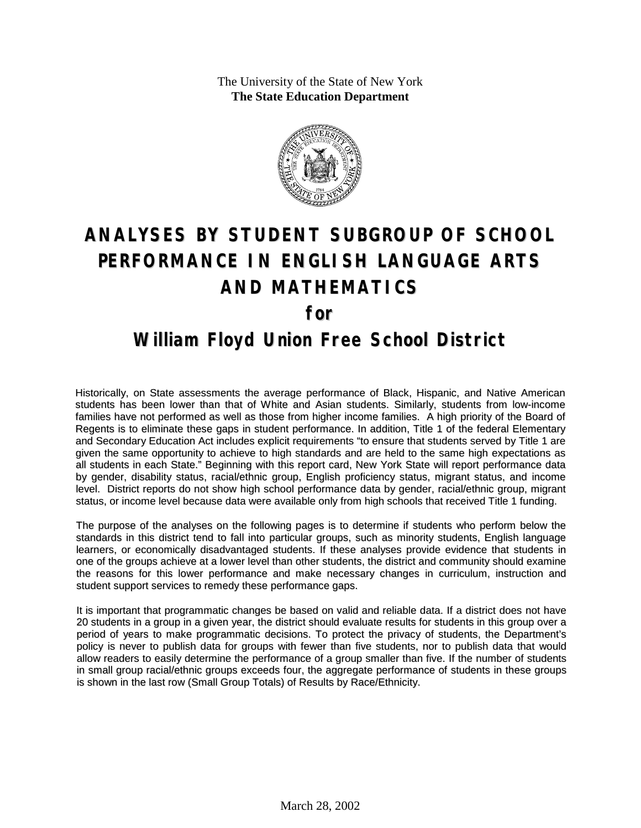The University of the State of New York **The State Education Department**



# **ANALYSES BY STUDENT SUBGROUP OF SCHOOL PERFORMANCE IN ENGLISH LANGUAGE ARTS AND MATHEMATICS for William Floyd Union Free School District**

Historically, on State assessments the average performance of Black, Hispanic, and Native American students has been lower than that of White and Asian students. Similarly, students from low-income families have not performed as well as those from higher income families. A high priority of the Board of Regents is to eliminate these gaps in student performance. In addition, Title 1 of the federal Elementary and Secondary Education Act includes explicit requirements "to ensure that students served by Title 1 are given the same opportunity to achieve to high standards and are held to the same high expectations as all students in each State." Beginning with this report card, New York State will report performance data by gender, disability status, racial/ethnic group, English proficiency status, migrant status, and income level. District reports do not show high school performance data by gender, racial/ethnic group, migrant

#### The purpose of the analyses on the following pages is to determine if students who perform below the standards in this district tend to fall into particular groups, such as minority students, English language learners, or economically disadvantaged students. If these analyses provide evidence that students in one of the groups achieve at a lower level than other students, the district and community should examine the reasons for this lower performance and make necessary changes in curriculum, instruction and student support services to remedy these performance gaps.

status, or income level because data were available only from high schools that received Title 1 funding.

It is important that programmatic changes be based on valid and reliable data. If a district does not have 20 students in a group in a given year, the district should evaluate results for students in this group over a period of years to make programmatic decisions. To protect the privacy of students, the Department's policy is never to publish data for groups with fewer than five students, nor to publish data that would allow readers to easily determine the performance of a group smaller than five. If the number of students in small group racial/ethnic groups exceeds four, the aggregate performance of students in these groups is shown in the last row (Small Group Totals) of Results by Race/Ethnicity.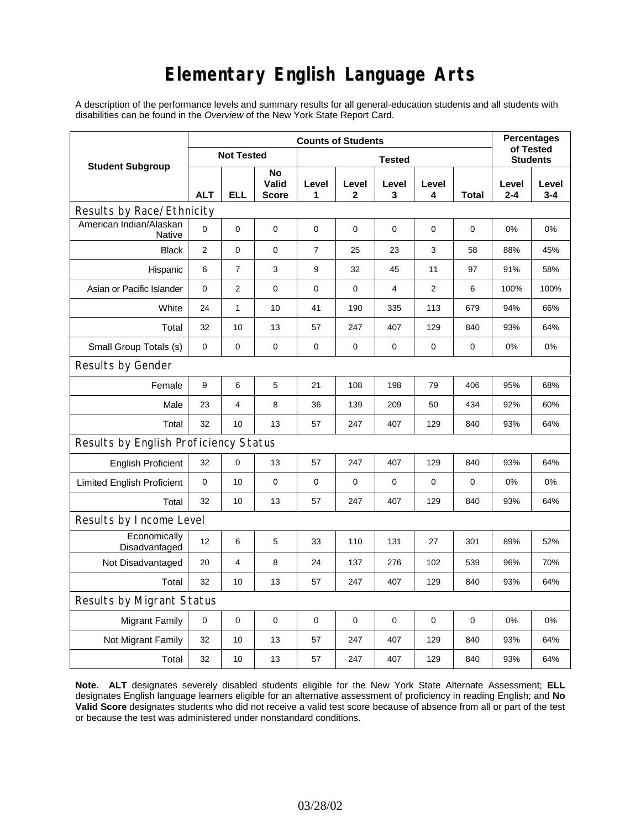## **Elementary English Language Arts**

A description of the performance levels and summary results for all general-education students and all students with disabilities can be found in the *Overview* of the New York State Report Card.

|                                          | <b>Counts of Students</b> |                   |                      |                |             |            |                 |       | <b>Percentages</b><br>of Tested |                  |
|------------------------------------------|---------------------------|-------------------|----------------------|----------------|-------------|------------|-----------------|-------|---------------------------------|------------------|
| <b>Student Subgroup</b>                  |                           | <b>Not Tested</b> |                      |                |             |            | <b>Students</b> |       |                                 |                  |
|                                          | <b>ALT</b>                | <b>ELL</b>        | No<br>Valid<br>Score | Level<br>1     | Level<br>2  | Level<br>3 | Level<br>4      | Total | Level<br>$2 - 4$                | Level<br>$3 - 4$ |
| Results by Race/Ethnicity                |                           |                   |                      |                |             |            |                 |       |                                 |                  |
| American Indian/Alaskan<br><b>Native</b> | 0                         | 0                 | 0                    | $\pmb{0}$      | 0           | 0          | 0               | 0     | 0%                              | 0%               |
| <b>Black</b>                             | 2                         | $\mathsf 0$       | 0                    | $\overline{7}$ | 25          | 23         | 3               | 58    | 88%                             | 45%              |
| Hispanic                                 | 6                         | 7                 | 3                    | 9              | 32          | 45         | 11              | 97    | 91%                             | 58%              |
| Asian or Pacific Islander                | 0                         | $\overline{2}$    | $\pmb{0}$            | 0              | 0           | 4          | 2               | 6     | 100%                            | 100%             |
| White                                    | 24                        | $\mathbf{1}$      | 10                   | 41             | 190         | 335        | 113             | 679   | 94%                             | 66%              |
| Total                                    | 32                        | 10                | 13                   | 57             | 247         | 407        | 129             | 840   | 93%                             | 64%              |
| Small Group Totals (s)                   | 0                         | 0                 | 0                    | 0              | 0           | 0          | 0               | 0     | 0%                              | 0%               |
| Results by Gender                        |                           |                   |                      |                |             |            |                 |       |                                 |                  |
| Female                                   | 9                         | 6                 | 5                    | 21             | 108         | 198        | 79              | 406   | 95%                             | 68%              |
| Male                                     | 23                        | 4                 | 8                    | 36             | 139         | 209        | 50              | 434   | 92%                             | 60%              |
| Total                                    | 32                        | 10                | 13                   | 57             | 247         | 407        | 129             | 840   | 93%                             | 64%              |
| Results by English Proficiency Status    |                           |                   |                      |                |             |            |                 |       |                                 |                  |
| <b>English Proficient</b>                | 32                        | 0                 | 13                   | 57             | 247         | 407        | 129             | 840   | 93%                             | 64%              |
| <b>Limited English Proficient</b>        | 0                         | 10                | $\mathbf 0$          | $\pmb{0}$      | $\mathbf 0$ | 0          | $\pmb{0}$       | 0     | 0%                              | 0%               |
| Total                                    | 32                        | 10                | 13                   | 57             | 247         | 407        | 129             | 840   | 93%                             | 64%              |
| Results by Income Level                  |                           |                   |                      |                |             |            |                 |       |                                 |                  |
| Economically<br>Disadvantaged            | 12                        | 6                 | 5                    | 33             | 110         | 131        | 27              | 301   | 89%                             | 52%              |
| Not Disadvantaged                        | 20                        | 4                 | 8                    | 24             | 137         | 276        | 102             | 539   | 96%                             | 70%              |
| Total                                    | 32                        | 10                | 13                   | 57             | 247         | 407        | 129             | 840   | 93%                             | 64%              |
| Results by Migrant Status                |                           |                   |                      |                |             |            |                 |       |                                 |                  |
| <b>Migrant Family</b>                    | 0                         | 0                 | 0                    | $\mathbf 0$    | 0           | 0          | $\mathbf 0$     | 0     | 0%                              | 0%               |
| Not Migrant Family                       | 32                        | 10                | 13                   | 57             | 247         | 407        | 129             | 840   | 93%                             | 64%              |
| Total                                    | 32                        | 10                | 13                   | 57             | 247         | 407        | 129             | 840   | 93%                             | 64%              |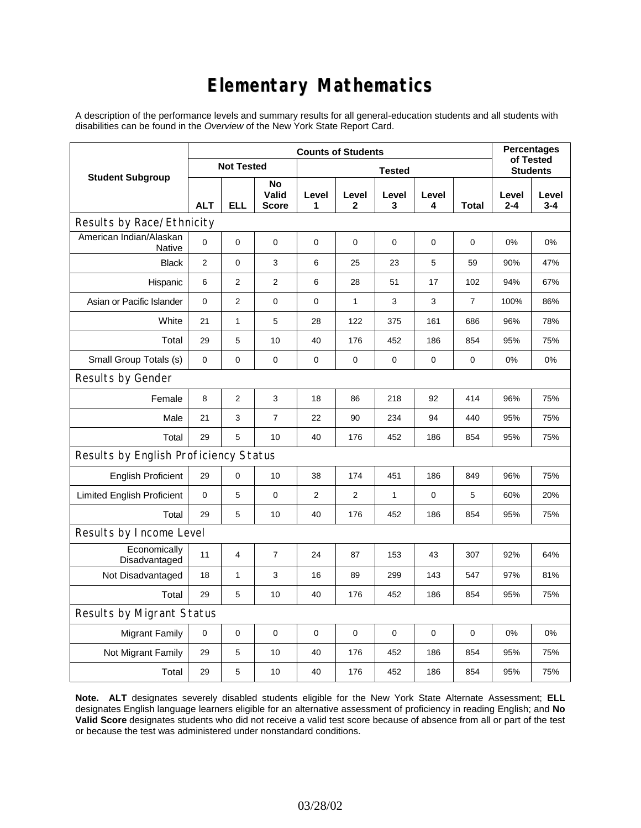## **Elementary Mathematics**

A description of the performance levels and summary results for all general-education students and all students with disabilities can be found in the *Overview* of the New York State Report Card.

|                                       | <b>Counts of Students</b> |                   |                             |                |                       |                 |             |                | <b>Percentages</b><br>of Tested |                  |  |
|---------------------------------------|---------------------------|-------------------|-----------------------------|----------------|-----------------------|-----------------|-------------|----------------|---------------------------------|------------------|--|
| <b>Student Subgroup</b>               |                           | <b>Not Tested</b> |                             |                |                       | <b>Students</b> |             |                |                                 |                  |  |
|                                       | <b>ALT</b>                | <b>ELL</b>        | No<br>Valid<br><b>Score</b> | Level<br>1     | Level<br>$\mathbf{2}$ | Level<br>3      | Level<br>4  | <b>Total</b>   | Level<br>$2 - 4$                | Level<br>$3 - 4$ |  |
| Results by Race/Ethnicity             |                           |                   |                             |                |                       |                 |             |                |                                 |                  |  |
| American Indian/Alaskan<br>Native     | 0                         | 0                 | 0                           | $\mathbf 0$    | 0                     | 0               | 0           | 0              | 0%                              | 0%               |  |
| <b>Black</b>                          | $\overline{2}$            | 0                 | 3                           | 6              | 25                    | 23              | 5           | 59             | 90%                             | 47%              |  |
| Hispanic                              | 6                         | 2                 | $\overline{2}$              | 6              | 28                    | 51              | 17          | 102            | 94%                             | 67%              |  |
| Asian or Pacific Islander             | 0                         | $\overline{2}$    | $\mathbf 0$                 | $\mathbf 0$    | $\mathbf{1}$          | 3               | 3           | $\overline{7}$ | 100%                            | 86%              |  |
| White                                 | 21                        | $\mathbf{1}$      | 5                           | 28             | 122                   | 375             | 161         | 686            | 96%                             | 78%              |  |
| Total                                 | 29                        | 5                 | 10                          | 40             | 176                   | 452             | 186         | 854            | 95%                             | 75%              |  |
| Small Group Totals (s)                | $\mathbf 0$               | 0                 | 0                           | 0              | 0                     | 0               | 0           | 0              | 0%                              | 0%               |  |
| Results by Gender                     |                           |                   |                             |                |                       |                 |             |                |                                 |                  |  |
| Female                                | 8                         | $\overline{2}$    | 3                           | 18             | 86                    | 218             | 92          | 414            | 96%                             | 75%              |  |
| Male                                  | 21                        | 3                 | 7                           | 22             | 90                    | 234             | 94          | 440            | 95%                             | 75%              |  |
| Total                                 | 29                        | 5                 | 10                          | 40             | 176                   | 452             | 186         | 854            | 95%                             | 75%              |  |
| Results by English Proficiency Status |                           |                   |                             |                |                       |                 |             |                |                                 |                  |  |
| <b>English Proficient</b>             | 29                        | 0                 | 10                          | 38             | 174                   | 451             | 186         | 849            | 96%                             | 75%              |  |
| <b>Limited English Proficient</b>     | 0                         | 5                 | $\mathbf 0$                 | $\overline{2}$ | $\overline{2}$        | $\mathbf{1}$    | $\mathbf 0$ | 5              | 60%                             | 20%              |  |
| Total                                 | 29                        | 5                 | 10                          | 40             | 176                   | 452             | 186         | 854            | 95%                             | 75%              |  |
| Results by Income Level               |                           |                   |                             |                |                       |                 |             |                |                                 |                  |  |
| Economically<br>Disadvantaged         | 11                        | 4                 | $\overline{7}$              | 24             | 87                    | 153             | 43          | 307            | 92%                             | 64%              |  |
| Not Disadvantaged                     | 18                        | 1                 | 3                           | 16             | 89                    | 299             | 143         | 547            | 97%                             | 81%              |  |
| Total                                 | 29                        | 5                 | 10                          | 40             | 176                   | 452             | 186         | 854            | 95%                             | 75%              |  |
| Results by Migrant Status             |                           |                   |                             |                |                       |                 |             |                |                                 |                  |  |
| <b>Migrant Family</b>                 | $\pmb{0}$                 | 0                 | $\mathbf 0$                 | $\mathbf 0$    | $\mathbf 0$           | 0               | 0           | 0              | 0%                              | 0%               |  |
| Not Migrant Family                    | 29                        | 5                 | 10                          | 40             | 176                   | 452             | 186         | 854            | 95%                             | 75%              |  |
| Total                                 | 29                        | 5                 | 10                          | 40             | 176                   | 452             | 186         | 854            | 95%                             | 75%              |  |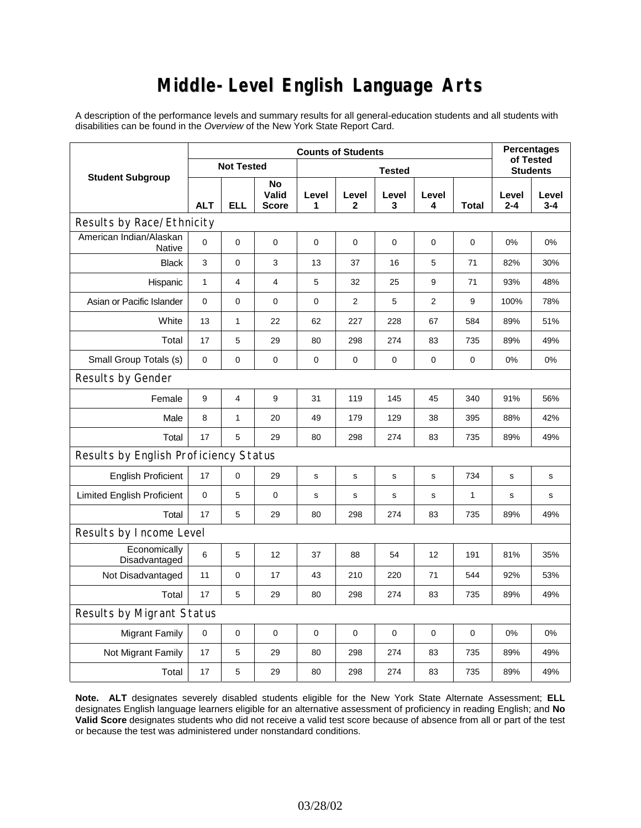# **Middle-Level English Language Arts**

A description of the performance levels and summary results for all general-education students and all students with disabilities can be found in the *Overview* of the New York State Report Card.

|                                       | <b>Counts of Students</b> |                   |                      |             |                |            |                 |              | <b>Percentages</b><br>of Tested |                  |
|---------------------------------------|---------------------------|-------------------|----------------------|-------------|----------------|------------|-----------------|--------------|---------------------------------|------------------|
| <b>Student Subgroup</b>               |                           | <b>Not Tested</b> |                      |             |                |            | <b>Students</b> |              |                                 |                  |
|                                       | <b>ALT</b>                | <b>ELL</b>        | No<br>Valid<br>Score | Level<br>1  | Level<br>2     | Level<br>3 | Level<br>4      | <b>Total</b> | Level<br>$2 - 4$                | Level<br>$3 - 4$ |
| Results by Race/Ethnicity             |                           |                   |                      |             |                |            |                 |              |                                 |                  |
| American Indian/Alaskan<br>Native     | 0                         | $\mathbf 0$       | $\mathbf 0$          | $\mathbf 0$ | $\mathbf 0$    | 0          | 0               | 0            | 0%                              | 0%               |
| <b>Black</b>                          | 3                         | 0                 | 3                    | 13          | 37             | 16         | 5               | 71           | 82%                             | 30%              |
| Hispanic                              | $\mathbf{1}$              | 4                 | $\overline{4}$       | 5           | 32             | 25         | 9               | 71           | 93%                             | 48%              |
| Asian or Pacific Islander             | 0                         | 0                 | $\pmb{0}$            | $\pmb{0}$   | $\overline{2}$ | 5          | $\overline{2}$  | 9            | 100%                            | 78%              |
| White                                 | 13                        | $\mathbf{1}$      | 22                   | 62          | 227            | 228        | 67              | 584          | 89%                             | 51%              |
| Total                                 | 17                        | 5                 | 29                   | 80          | 298            | 274        | 83              | 735          | 89%                             | 49%              |
| Small Group Totals (s)                | 0                         | 0                 | $\mathbf 0$          | 0           | $\mathbf 0$    | 0          | 0               | 0            | 0%                              | 0%               |
| Results by Gender                     |                           |                   |                      |             |                |            |                 |              |                                 |                  |
| Female                                | 9                         | 4                 | 9                    | 31          | 119            | 145        | 45              | 340          | 91%                             | 56%              |
| Male                                  | 8                         | $\mathbf{1}$      | 20                   | 49          | 179            | 129        | 38              | 395          | 88%                             | 42%              |
| Total                                 | 17                        | 5                 | 29                   | 80          | 298            | 274        | 83              | 735          | 89%                             | 49%              |
| Results by English Proficiency Status |                           |                   |                      |             |                |            |                 |              |                                 |                  |
| <b>English Proficient</b>             | 17                        | 0                 | 29                   | $\mathbf s$ | $\mathbf s$    | s          | s               | 734          | s                               | $\mathbf s$      |
| <b>Limited English Proficient</b>     | 0                         | 5                 | $\mathbf 0$          | $\mathbf s$ | $\mathbf S$    | s          | s               | $\mathbf{1}$ | s                               | s                |
| Total                                 | 17                        | 5                 | 29                   | 80          | 298            | 274        | 83              | 735          | 89%                             | 49%              |
| Results by Income Level               |                           |                   |                      |             |                |            |                 |              |                                 |                  |
| Economically<br>Disadvantaged         | 6                         | 5                 | 12                   | 37          | 88             | 54         | 12              | 191          | 81%                             | 35%              |
| Not Disadvantaged                     | 11                        | 0                 | 17                   | 43          | 210            | 220        | 71              | 544          | 92%                             | 53%              |
| Total                                 | 17                        | 5                 | 29                   | 80          | 298            | 274        | 83              | 735          | 89%                             | 49%              |
| Results by Migrant Status             |                           |                   |                      |             |                |            |                 |              |                                 |                  |
| <b>Migrant Family</b>                 | $\mathbf 0$               | 0                 | $\pmb{0}$            | $\mathbf 0$ | $\mathbf 0$    | 0          | 0               | $\mathbf 0$  | 0%                              | 0%               |
| Not Migrant Family                    | 17                        | 5                 | 29                   | 80          | 298            | 274        | 83              | 735          | 89%                             | 49%              |
| Total                                 | 17                        | 5                 | 29                   | 80          | 298            | 274        | 83              | 735          | 89%                             | 49%              |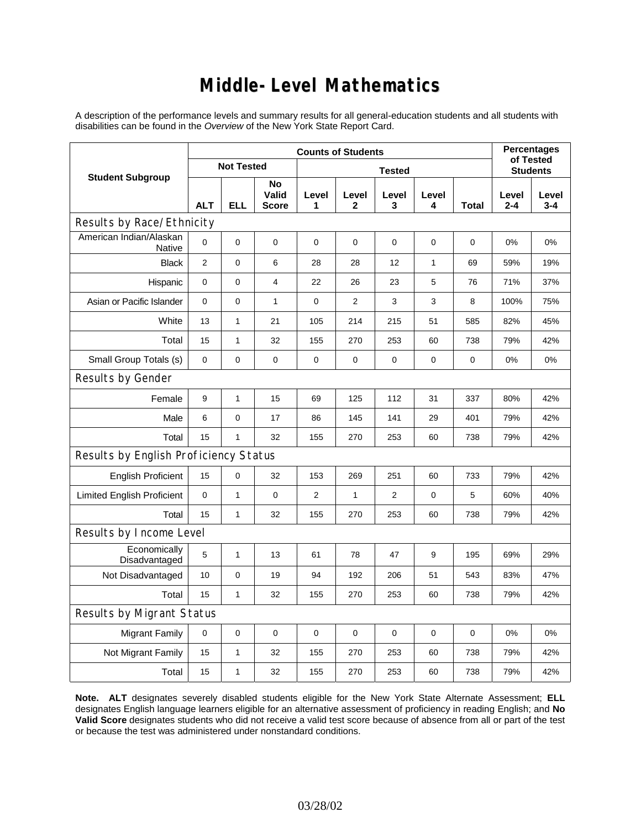### **Middle-Level Mathematics**

A description of the performance levels and summary results for all general-education students and all students with disabilities can be found in the *Overview* of the New York State Report Card.

|                                          | <b>Counts of Students</b> |                   |                             |             |                       |                |            |                 | <b>Percentages</b><br>of Tested |                  |
|------------------------------------------|---------------------------|-------------------|-----------------------------|-------------|-----------------------|----------------|------------|-----------------|---------------------------------|------------------|
| <b>Student Subgroup</b>                  |                           | <b>Not Tested</b> |                             |             |                       |                |            | <b>Students</b> |                                 |                  |
|                                          | <b>ALT</b>                | <b>ELL</b>        | No<br>Valid<br><b>Score</b> | Level<br>1  | Level<br>$\mathbf{2}$ | Level<br>3     | Level<br>4 | <b>Total</b>    | Level<br>$2 - 4$                | Level<br>$3 - 4$ |
| Results by Race/Ethnicity                |                           |                   |                             |             |                       |                |            |                 |                                 |                  |
| American Indian/Alaskan<br><b>Native</b> | $\mathbf 0$               | $\Omega$          | $\mathbf 0$                 | $\mathbf 0$ | $\mathbf 0$           | $\mathbf 0$    | 0          | 0               | $0\%$                           | 0%               |
| <b>Black</b>                             | $\mathbf{2}$              | 0                 | 6                           | 28          | 28                    | 12             | 1          | 69              | 59%                             | 19%              |
| Hispanic                                 | 0                         | 0                 | $\overline{4}$              | 22          | 26                    | 23             | 5          | 76              | 71%                             | 37%              |
| Asian or Pacific Islander                | $\mathbf 0$               | 0                 | $\mathbf{1}$                | $\pmb{0}$   | $\overline{2}$        | 3              | 3          | 8               | 100%                            | 75%              |
| White                                    | 13                        | $\mathbf{1}$      | 21                          | 105         | 214                   | 215            | 51         | 585             | 82%                             | 45%              |
| Total                                    | 15                        | $\mathbf{1}$      | 32                          | 155         | 270                   | 253            | 60         | 738             | 79%                             | 42%              |
| Small Group Totals (s)                   | $\mathbf 0$               | 0                 | $\mathbf 0$                 | 0           | 0                     | $\mathbf 0$    | 0          | 0               | 0%                              | 0%               |
| Results by Gender                        |                           |                   |                             |             |                       |                |            |                 |                                 |                  |
| Female                                   | 9                         | $\mathbf{1}$      | 15                          | 69          | 125                   | 112            | 31         | 337             | 80%                             | 42%              |
| Male                                     | 6                         | 0                 | 17                          | 86          | 145                   | 141            | 29         | 401             | 79%                             | 42%              |
| Total                                    | 15                        | $\mathbf{1}$      | 32                          | 155         | 270                   | 253            | 60         | 738             | 79%                             | 42%              |
| Results by English Proficiency Status    |                           |                   |                             |             |                       |                |            |                 |                                 |                  |
| <b>English Proficient</b>                | 15                        | $\mathsf 0$       | 32                          | 153         | 269                   | 251            | 60         | 733             | 79%                             | 42%              |
| <b>Limited English Proficient</b>        | $\mathbf 0$               | 1                 | $\pmb{0}$                   | 2           | $\mathbf{1}$          | $\overline{2}$ | 0          | 5               | 60%                             | 40%              |
| Total                                    | 15                        | $\mathbf{1}$      | 32                          | 155         | 270                   | 253            | 60         | 738             | 79%                             | 42%              |
| Results by Income Level                  |                           |                   |                             |             |                       |                |            |                 |                                 |                  |
| Economically<br>Disadvantaged            | 5                         | $\mathbf{1}$      | 13                          | 61          | 78                    | 47             | 9          | 195             | 69%                             | 29%              |
| Not Disadvantaged                        | 10                        | 0                 | 19                          | 94          | 192                   | 206            | 51         | 543             | 83%                             | 47%              |
| Total                                    | 15                        | $\mathbf{1}$      | 32                          | 155         | 270                   | 253            | 60         | 738             | 79%                             | 42%              |
| <b>Results by Migrant Status</b>         |                           |                   |                             |             |                       |                |            |                 |                                 |                  |
| <b>Migrant Family</b>                    | $\mathbf 0$               | 0                 | $\pmb{0}$                   | 0           | 0                     | 0              | 0          | 0               | 0%                              | 0%               |
| Not Migrant Family                       | 15                        | 1                 | 32                          | 155         | 270                   | 253            | 60         | 738             | 79%                             | 42%              |
| Total                                    | 15                        | 1                 | 32                          | 155         | 270                   | 253            | 60         | 738             | 79%                             | 42%              |